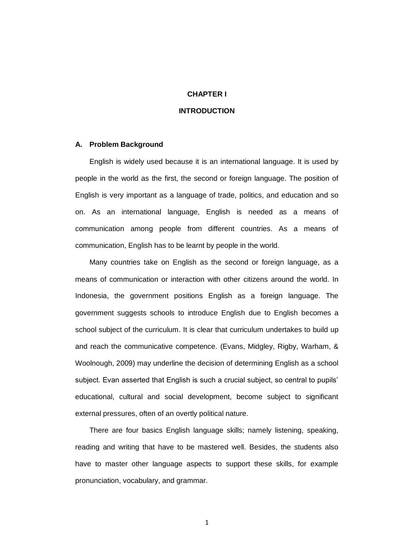### **CHAPTER I**

#### **INTRODUCTION**

#### **A. Problem Background**

English is widely used because it is an international language. It is used by people in the world as the first, the second or foreign language. The position of English is very important as a language of trade, politics, and education and so on. As an international language, English is needed as a means of communication among people from different countries. As a means of communication, English has to be learnt by people in the world.

 Many countries take on English as the second or foreign language, as a means of communication or interaction with other citizens around the world. In Indonesia, the government positions English as a foreign language. The government suggests schools to introduce English due to English becomes a school subject of the curriculum. It is clear that curriculum undertakes to build up and reach the communicative competence. (Evans, Midgley, Rigby, Warham, & Woolnough, 2009) may underline the decision of determining English as a school subject. Evan asserted that English is such a crucial subject, so central to pupils' educational, cultural and social development, become subject to significant external pressures, often of an overtly political nature.

There are four basics English language skills; namely listening, speaking, reading and writing that have to be mastered well. Besides, the students also have to master other language aspects to support these skills, for example pronunciation, vocabulary, and grammar.

1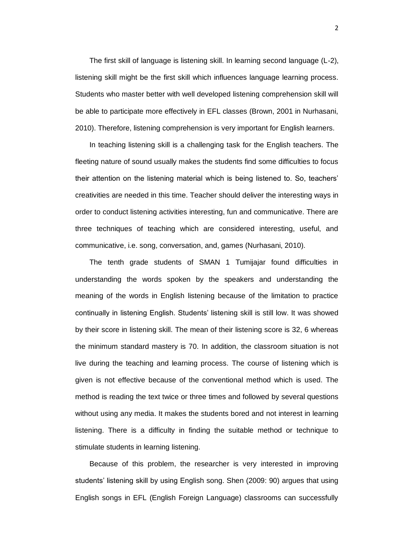The first skill of language is listening skill. In learning second language (L-2), listening skill might be the first skill which influences language learning process. Students who master better with well developed listening comprehension skill will be able to participate more effectively in EFL classes (Brown, 2001 in Nurhasani, 2010). Therefore, listening comprehension is very important for English learners.

In teaching listening skill is a challenging task for the English teachers. The fleeting nature of sound usually makes the students find some difficulties to focus their attention on the listening material which is being listened to. So, teachers' creativities are needed in this time. Teacher should deliver the interesting ways in order to conduct listening activities interesting, fun and communicative. There are three techniques of teaching which are considered interesting, useful, and communicative, i.e. song, conversation, and, games (Nurhasani, 2010).

The tenth grade students of SMAN 1 Tumijajar found difficulties in understanding the words spoken by the speakers and understanding the meaning of the words in English listening because of the limitation to practice continually in listening English. Students' listening skill is still low. It was showed by their score in listening skill. The mean of their listening score is 32, 6 whereas the minimum standard mastery is 70. In addition, the classroom situation is not live during the teaching and learning process. The course of listening which is given is not effective because of the conventional method which is used. The method is reading the text twice or three times and followed by several questions without using any media. It makes the students bored and not interest in learning listening. There is a difficulty in finding the suitable method or technique to stimulate students in learning listening.

Because of this problem, the researcher is very interested in improving students' listening skill by using English song. Shen (2009: 90) argues that using English songs in EFL (English Foreign Language) classrooms can successfully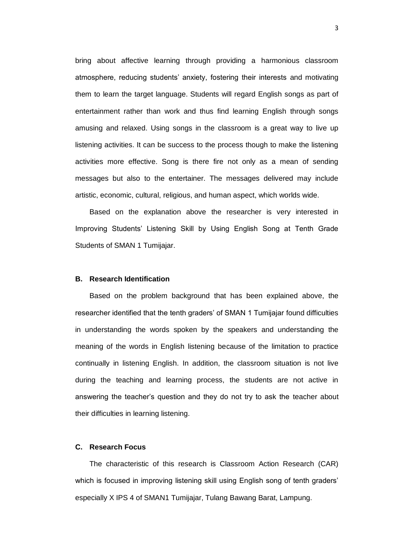bring about affective learning through providing a harmonious classroom atmosphere, reducing students' anxiety, fostering their interests and motivating them to learn the target language. Students will regard English songs as part of entertainment rather than work and thus find learning English through songs amusing and relaxed. Using songs in the classroom is a great way to live up listening activities. It can be success to the process though to make the listening activities more effective. Song is there fire not only as a mean of sending messages but also to the entertainer. The messages delivered may include artistic, economic, cultural, religious, and human aspect, which worlds wide.

Based on the explanation above the researcher is very interested in Improving Students' Listening Skill by Using English Song at Tenth Grade Students of SMAN 1 Tumijajar.

#### **B. Research Identification**

Based on the problem background that has been explained above, the researcher identified that the tenth graders' of SMAN 1 Tumijajar found difficulties in understanding the words spoken by the speakers and understanding the meaning of the words in English listening because of the limitation to practice continually in listening English. In addition, the classroom situation is not live during the teaching and learning process, the students are not active in answering the teacher's question and they do not try to ask the teacher about their difficulties in learning listening.

#### **C. Research Focus**

The characteristic of this research is Classroom Action Research (CAR) which is focused in improving listening skill using English song of tenth graders' especially X IPS 4 of SMAN1 Tumijajar, Tulang Bawang Barat, Lampung.